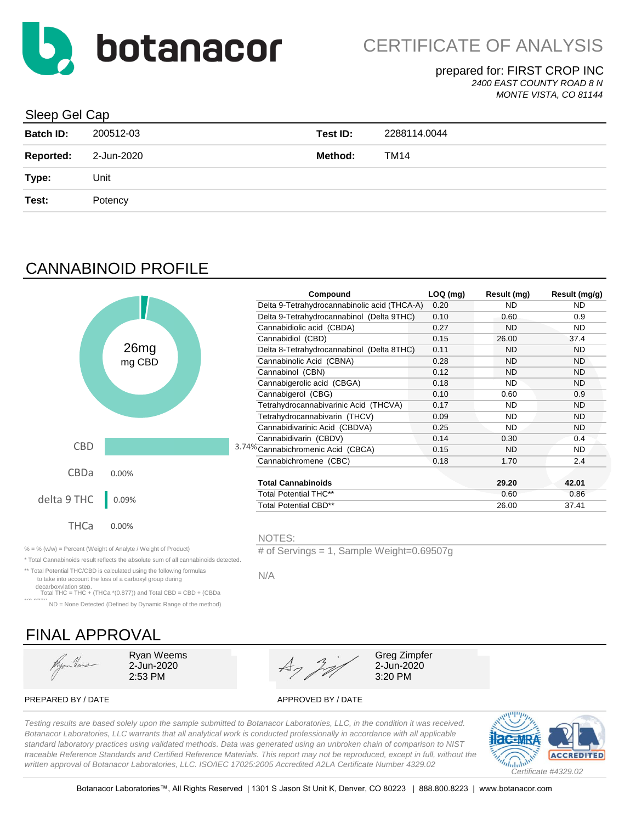

#### prepared for: FIRST CROP INC *2400 EAST COUNTY ROAD 8 N*

*MONTE VISTA, CO 81144*

#### Sleep Gel Cap

| <b>Batch ID:</b> | 200512-03  | Test ID: | 2288114.0044 |
|------------------|------------|----------|--------------|
| <b>Reported:</b> | 2-Jun-2020 | Method:  | TM14         |
| Type:            | Unit       |          |              |
| Test:            | Potency    |          |              |
|                  |            |          |              |

# CANNABINOID PROFILE

|             |        | Compound                                     | $LOQ$ (mg) | Result (mg) | Result (mg/g) |
|-------------|--------|----------------------------------------------|------------|-------------|---------------|
|             |        | Delta 9-Tetrahydrocannabinolic acid (THCA-A) | 0.20       | <b>ND</b>   | ND.           |
|             |        | Delta 9-Tetrahydrocannabinol (Delta 9THC)    | 0.10       | 0.60        | 0.9           |
|             |        | Cannabidiolic acid (CBDA)                    | 0.27       | <b>ND</b>   | ND.           |
|             |        | Cannabidiol (CBD)                            | 0.15       | 26.00       | 37.4          |
|             | 26mg   | Delta 8-Tetrahydrocannabinol (Delta 8THC)    | 0.11       | <b>ND</b>   | <b>ND</b>     |
|             | mg CBD | Cannabinolic Acid (CBNA)                     | 0.28       | <b>ND</b>   | ND.           |
|             |        | Cannabinol (CBN)                             | 0.12       | <b>ND</b>   | <b>ND</b>     |
|             |        | Cannabigerolic acid (CBGA)                   | 0.18       | <b>ND</b>   | ND.           |
|             |        | Cannabigerol (CBG)                           | 0.10       | 0.60        | 0.9           |
|             |        | Tetrahydrocannabivarinic Acid (THCVA)        | 0.17       | <b>ND</b>   | ND.           |
|             |        | Tetrahydrocannabivarin (THCV)                | 0.09       | <b>ND</b>   | ND.           |
|             |        | Cannabidivarinic Acid (CBDVA)                | 0.25       | <b>ND</b>   | ND.           |
|             |        | Cannabidivarin (CBDV)                        | 0.14       | 0.30        | 0.4           |
| <b>CBD</b>  |        | 3.74% Cannabichromenic Acid (CBCA)           | 0.15       | <b>ND</b>   | ND.           |
|             |        | Cannabichromene (CBC)                        | 0.18       | 1.70        | 2.4           |
| CBDa        | 0.00%  |                                              |            |             |               |
|             |        | <b>Total Cannabinoids</b>                    |            | 29.20       | 42.01         |
| delta 9 THC | 0.09%  | Total Potential THC**                        |            | 0.60        | 0.86          |
|             |        | <b>Total Potential CBD**</b>                 |            | 26.00       | 37.41         |
|             |        |                                              |            |             |               |
| THCa        | 0.00%  |                                              |            |             |               |
|             |        | NOTES:                                       |            |             |               |

% = % (w/w) = Percent (Weight of Analyte / Weight of Product) # of Servings = 1, Sample Weight=0.69507g

\* Total Cannabinoids result reflects the absolute sum of all cannabinoids detected.

\*\* Total Potential THC/CBD is calculated using the following formulas to take into account the loss of a carboxyl group during

decarboxylation step. Total THC = THC + (THCa \*(0.877)) and Total CBD = CBD + (CBDa

\*( $0.977$ )) ND = None Detected (Defined by Dynamic Range of the method)

# FINAL APPROVAL

Hyan Heus



PREPARED BY / DATE APPROVED BY / DATE

*Testing results are based solely upon the sample submitted to Botanacor Laboratories, LLC, in the condition it was received. Botanacor Laboratories, LLC warrants that all analytical work is conducted professionally in accordance with all applicable standard laboratory practices using validated methods. Data was generated using an unbroken chain of comparison to NIST traceable Reference Standards and Certified Reference Materials. This report may not be reproduced, except in full, without the written approval of Botanacor Laboratories, LLC. ISO/IEC 17025:2005 Accredited A2LA Certificate Number 4329.02*

N/A

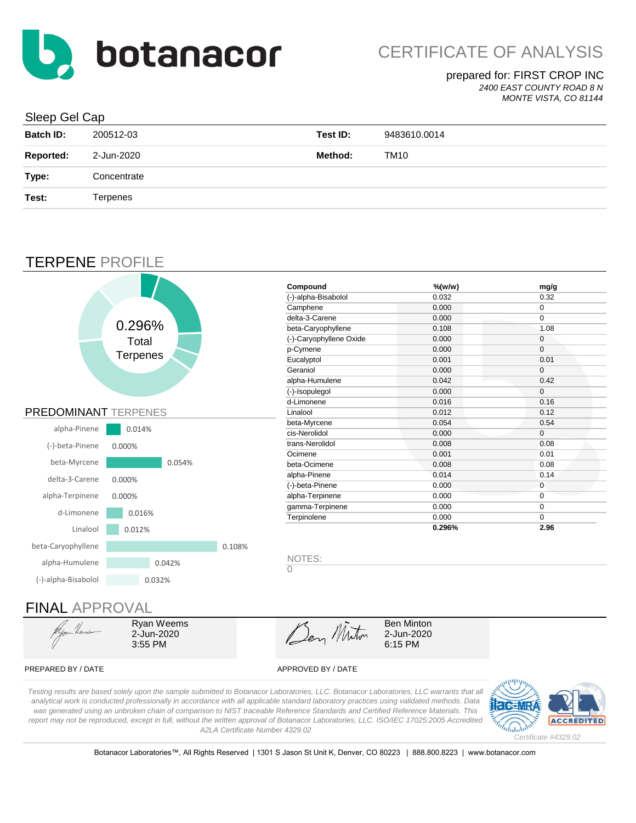

### prepared for: FIRST CROP INC

*2400 EAST COUNTY ROAD 8 N*

#### *MONTE VISTA, CO 81144*

#### Sleep Gel Cap

| <b>Batch ID:</b> | 200512-03   | Test ID: | 9483610.0014 |
|------------------|-------------|----------|--------------|
| <b>Reported:</b> | 2-Jun-2020  | Method:  | TM10         |
| Type:            | Concentrate |          |              |
| Test:            | Terpenes    |          |              |
|                  |             |          |              |

### TERPENE PROFILE

![](_page_1_Figure_8.jpeg)

Ryan Weems 2-Jun-2020 3:55 PM

Den Miton

2-Jun-2020 6:15 PM Ben Minton

#### PREPARED BY / DATE APPROVED BY / DATE

*Testing results are based solely upon the sample submitted to Botanacor Laboratories, LLC. Botanacor Laboratories, LLC warrants that all analytical work is conducted professionally in accordance with all applicable standard laboratory practices using validated methods. Data was generated using an unbroken chain of comparison to NIST traceable Reference Standards and Certified Reference Materials. This report may not be reproduced, except in full, without the written approval of Botanacor Laboratories, LLC. ISO/IEC 17025:2005 Accredited A2LA Certificate Number 4329.02*

![](_page_1_Picture_17.jpeg)

Botanacor Laboratories™, All Rights Reserved | 1301 S Jason St Unit K, Denver, CO 80223 | 888.800.8223 | www.botanacor.com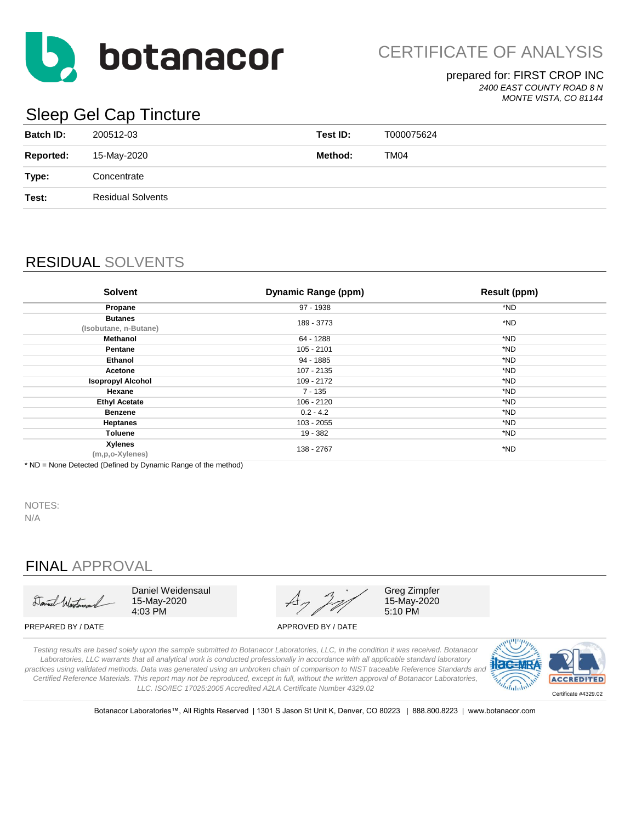![](_page_2_Picture_0.jpeg)

CERTIFICATE OF ANALYSIS

### prepared for: FIRST CROP INC

*2400 EAST COUNTY ROAD 8 N MONTE VISTA, CO 81144*

# Sleep Gel Cap Tincture

| <b>Batch ID:</b> | 200512-03                | Test ID: | T000075624 |
|------------------|--------------------------|----------|------------|
| <b>Reported:</b> | 15-May-2020              | Method:  | TM04       |
| Type:            | Concentrate              |          |            |
| Test:            | <b>Residual Solvents</b> |          |            |
|                  |                          |          |            |

# RESIDUAL SOLVENTS

| <b>Solvent</b>                          | <b>Dynamic Range (ppm)</b> | <b>Result (ppm)</b> |
|-----------------------------------------|----------------------------|---------------------|
| Propane                                 | 97 - 1938                  | *ND                 |
| <b>Butanes</b><br>(Isobutane, n-Butane) | 189 - 3773                 | *ND                 |
| Methanol                                | 64 - 1288                  | *ND                 |
| Pentane                                 | 105 - 2101                 | *ND                 |
| <b>Ethanol</b>                          | 94 - 1885                  | *ND                 |
| Acetone                                 | 107 - 2135                 | *ND                 |
| <b>Isopropyl Alcohol</b>                | 109 - 2172                 | *ND                 |
| Hexane                                  | 7 - 135                    | *ND                 |
| <b>Ethyl Acetate</b>                    | 106 - 2120                 | *ND                 |
| <b>Benzene</b>                          | $0.2 - 4.2$                | *ND                 |
| <b>Heptanes</b>                         | 103 - 2055                 | *ND                 |
| <b>Toluene</b>                          | 19 - 382                   | *ND                 |
| <b>Xylenes</b><br>(m,p,o-Xylenes)       | 138 - 2767                 | *ND                 |

\* ND = None Detected (Defined by Dynamic Range of the method)

NOTES:

N/A

# FINAL APPROVAL

Daniel Westman

Daniel Weidensaul 15-May-2020 4:03 PM

PREPARED BY / DATE APPROVED BY / DATE

Greg Zimpfer 15-May-2020 5:10 PM

*Testing results are based solely upon the sample submitted to Botanacor Laboratories, LLC, in the condition it was received. Botanacor Laboratories, LLC warrants that all analytical work is conducted professionally in accordance with all applicable standard laboratory practices using validated methods. Data was generated using an unbroken chain of comparison to NIST traceable Reference Standards and Certified Reference Materials. This report may not be reproduced, except in full, without the written approval of Botanacor Laboratories, LLC. ISO/IEC 17025:2005 Accredited A2LA Certificate Number 4329.02*

![](_page_2_Picture_18.jpeg)

Botanacor Laboratories™, All Rights Reserved | 1301 S Jason St Unit K, Denver, CO 80223 | 888.800.8223 | www.botanacor.com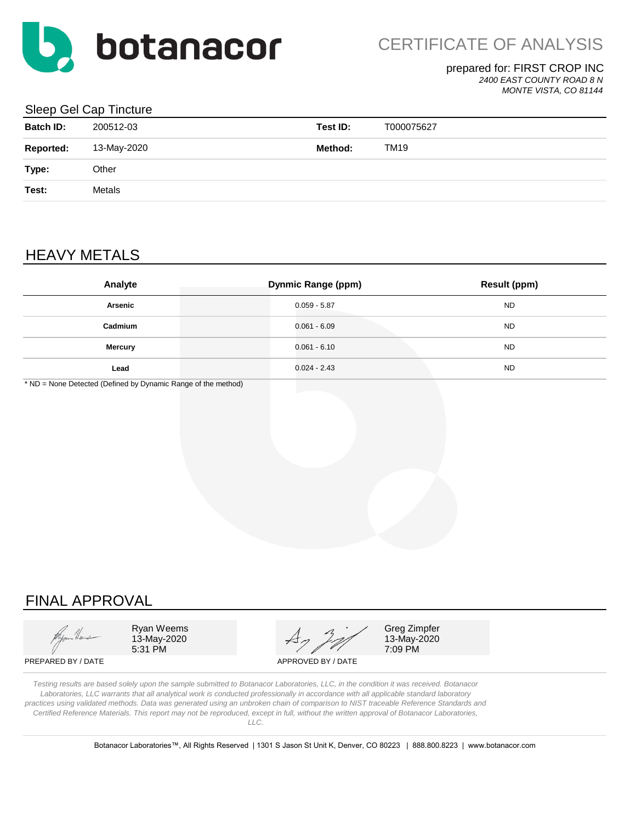![](_page_3_Picture_0.jpeg)

#### prepared for: FIRST CROP INC

*2400 EAST COUNTY ROAD 8 N*

#### *MONTE VISTA, CO 81144*

#### Sleep Gel Cap Tincture

| <b>Batch ID:</b> | 200512-03   | Test ID: | T000075627 |
|------------------|-------------|----------|------------|
| <b>Reported:</b> | 13-May-2020 | Method:  | TM19       |
| Type:            | Other       |          |            |
| Test:            | Metals      |          |            |
|                  |             |          |            |

# HEAVY METALS

| Analyte        | <b>Dynmic Range (ppm)</b> | <b>Result (ppm)</b> |
|----------------|---------------------------|---------------------|
| Arsenic        | $0.059 - 5.87$            | <b>ND</b>           |
| Cadmium        | $0.061 - 6.09$            | <b>ND</b>           |
| <b>Mercury</b> | $0.061 - 6.10$            | <b>ND</b>           |
| Lead           | $0.024 - 2.43$            | <b>ND</b>           |

\* ND = None Detected (Defined by Dynamic Range of the method)

# FINAL APPROVAL

Ryan Weems  $\overline{A}$   $\overline{A}$   $\overline{C}$  Greg Zimpfer 13-May-2020  $47/7$  13-May-2020<br>5:31 PM 7:09 PM

7:09 PM

PREPARED BY / DATE APPROVED BY / DATE

*Testing results are based solely upon the sample submitted to Botanacor Laboratories, LLC, in the condition it was received. Botanacor Laboratories, LLC warrants that all analytical work is conducted professionally in accordance with all applicable standard laboratory practices using validated methods. Data was generated using an unbroken chain of comparison to NIST traceable Reference Standards and Certified Reference Materials. This report may not be reproduced, except in full, without the written approval of Botanacor Laboratories, LLC.*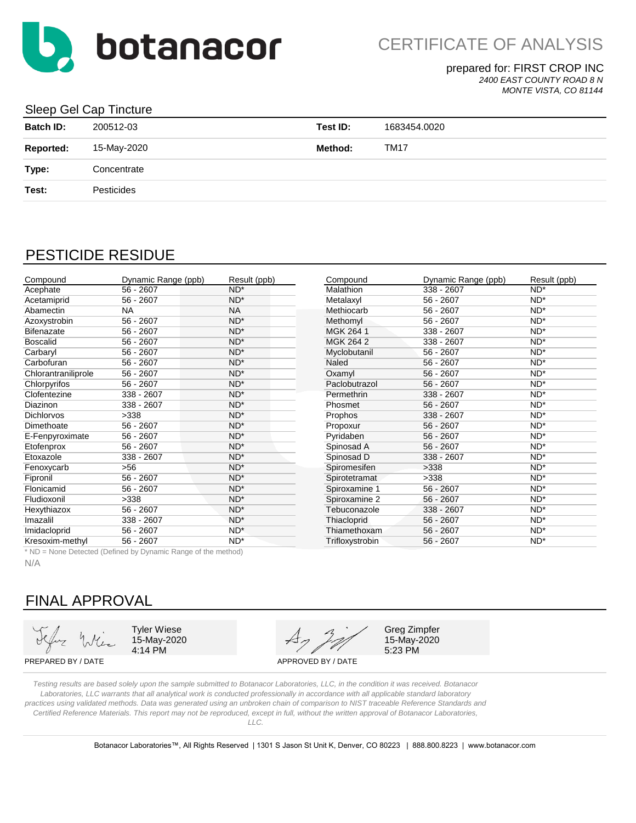![](_page_4_Picture_0.jpeg)

prepared for: FIRST CROP INC

*2400 EAST COUNTY ROAD 8 N*

*MONTE VISTA, CO 81144*

#### Sleep Gel Cap Tincture

| <b>Batch ID:</b> | 200512-03   | Test ID: | 1683454.0020 |
|------------------|-------------|----------|--------------|
| <b>Reported:</b> | 15-May-2020 | Method:  | <b>TM17</b>  |
| Type:            | Concentrate |          |              |
| Test:            | Pesticides  |          |              |
|                  |             |          |              |

## PESTICIDE RESIDUE

| Compound            | Dynamic Range (ppb) | Result (ppb)    | Compound         | Dynamic Range (ppb) | Result (ppb)    |
|---------------------|---------------------|-----------------|------------------|---------------------|-----------------|
| Acephate            | $56 - 2607$         | $ND^*$          | <b>Malathion</b> | 338 - 2607          | $ND^*$          |
| Acetamiprid         | $56 - 2607$         | $ND^*$          | Metalaxyl        | $56 - 2607$         | $ND^*$          |
| Abamectin           | <b>NA</b>           | <b>NA</b>       | Methiocarb       | $56 - 2607$         | $ND^*$          |
| Azoxystrobin        | $56 - 2607$         | $ND^*$          | Methomyl         | $56 - 2607$         | $ND^*$          |
| <b>Bifenazate</b>   | $56 - 2607$         | $ND^*$          | MGK 264 1        | 338 - 2607          | $ND^*$          |
| <b>Boscalid</b>     | $56 - 2607$         | $ND^*$          | MGK 264 2        | 338 - 2607          | $ND^*$          |
| Carbaryl            | $56 - 2607$         | $ND^*$          | Myclobutanil     | $56 - 2607$         | $ND^*$          |
| Carbofuran          | $56 - 2607$         | $ND^*$          | Naled            | $56 - 2607$         | $ND^*$          |
| Chlorantraniliprole | $56 - 2607$         | $ND^*$          | Oxamyl           | $56 - 2607$         | $ND^*$          |
| Chlorpyrifos        | $56 - 2607$         | ND <sup>*</sup> | Paclobutrazol    | $56 - 2607$         | $ND^*$          |
| Clofentezine        | 338 - 2607          | $ND^*$          | Permethrin       | 338 - 2607          | $ND^*$          |
| <b>Diazinon</b>     | 338 - 2607          | $ND^*$          | Phosmet          | $56 - 2607$         | $ND^*$          |
| <b>Dichlorvos</b>   | >338                | ND <sup>*</sup> | Prophos          | 338 - 2607          | $ND^*$          |
| Dimethoate          | $56 - 2607$         | ND <sup>*</sup> | Propoxur         | $56 - 2607$         | $ND^*$          |
| E-Fenpyroximate     | $56 - 2607$         | ND <sup>*</sup> | Pyridaben        | $56 - 2607$         | ND*             |
| Etofenprox          | $56 - 2607$         | $ND^*$          | Spinosad A       | $56 - 2607$         | ND*             |
| Etoxazole           | 338 - 2607          | $ND^*$          | Spinosad D       | $338 - 2607$        | $ND^*$          |
| Fenoxycarb          | >56                 | $ND^*$          | Spiromesifen     | >338                | $ND^*$          |
| Fipronil            | $56 - 2607$         | $ND^*$          | Spirotetramat    | >338                | $ND^*$          |
| Flonicamid          | $56 - 2607$         | ND <sup>*</sup> | Spiroxamine 1    | 56 - 2607           | ND <sup>*</sup> |
| Fludioxonil         | >338                | ND <sup>*</sup> | Spiroxamine 2    | $56 - 2607$         | $ND^*$          |
| Hexythiazox         | $56 - 2607$         | $ND^*$          | Tebuconazole     | 338 - 2607          | $ND^*$          |
| Imazalil            | 338 - 2607          | $ND^*$          | Thiacloprid      | $56 - 2607$         | $ND^*$          |
| Imidacloprid        | $56 - 2607$         | $ND^*$          | Thiamethoxam     | $56 - 2607$         | $ND^*$          |
| Kresoxim-methyl     | $56 - 2607$         | $ND^*$          | Trifloxystrobin  | $56 - 2607$         | $ND^*$          |

\* ND = None Detected (Defined by Dynamic Range of the method)

N/A

# FINAL APPROVAL

15-May-2020

4:14 PM 5:23 PM Tyler Wiese  $A \rightarrow A$  Greg Zimpfer

15-May-2020

PREPARED BY / DATE APPROVED BY / DATE

*Testing results are based solely upon the sample submitted to Botanacor Laboratories, LLC, in the condition it was received. Botanacor Laboratories, LLC warrants that all analytical work is conducted professionally in accordance with all applicable standard laboratory practices using validated methods. Data was generated using an unbroken chain of comparison to NIST traceable Reference Standards and Certified Reference Materials. This report may not be reproduced, except in full, without the written approval of Botanacor Laboratories, LLC.*